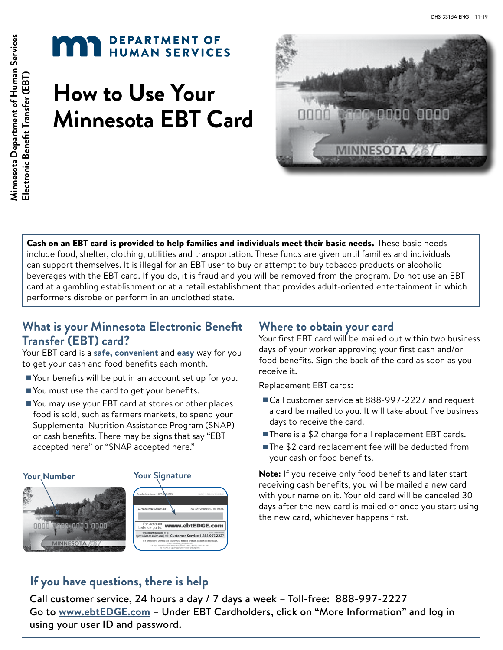# **MAR** DEPARTMENT OF

# **How to Use Your Minnesota EBT Card**



Cash on an EBT card is provided to help families and individuals meet their basic needs. These basic needs include food, shelter, clothing, utilities and transportation. These funds are given until families and individuals can support themselves. It is illegal for an EBT user to buy or attempt to buy tobacco products or alcoholic beverages with the EBT card. If you do, it is fraud and you will be removed from the program. Do not use an EBT card at a gambling establishment or at a retail establishment that provides adult-oriented entertainment in which performers disrobe or perform in an unclothed state.

# **What is your Minnesota Electronic Benefit Transfer (EBT) card?**

Your EBT card is a **safe, convenient** and **easy** way for you to get your cash and food benefits each month.

- Your benefits will be put in an account set up for you.
- You must use the card to get your benefits.
- You may use your EBT card at stores or other places food is sold, such as farmers markets, to spend your Supplemental Nutrition Assistance Program (SNAP) or cash benefits. There may be signs that say "EBT accepted here" or "SNAP accepted here."



### **Where to obtain your card**

Your first EBT card will be mailed out within two business days of your worker approving your first cash and/or food benefits. Sign the back of the card as soon as you receive it.

Replacement EBT cards:

- Call customer service at 888-997-2227 and request a card be mailed to you. It will take about five business days to receive the card.
- There is a \$2 charge for all replacement EBT cards.
- The \$2 card replacement fee will be deducted from your cash or food benefits.

**Note:** If you receive only food benefits and later start receiving cash benefits, you will be mailed a new card with your name on it. Your old card will be canceled 30 days after the new card is mailed or once you start using the new card, whichever happens first.

# **If you have questions, there is help**

Call customer service, 24 hours a day / 7 days a week – Toll-free: 888-997-2227 Go to **www.ebtEDGE.com** – Under EBT Cardholders, click on "More Information" and log in using your user ID and password.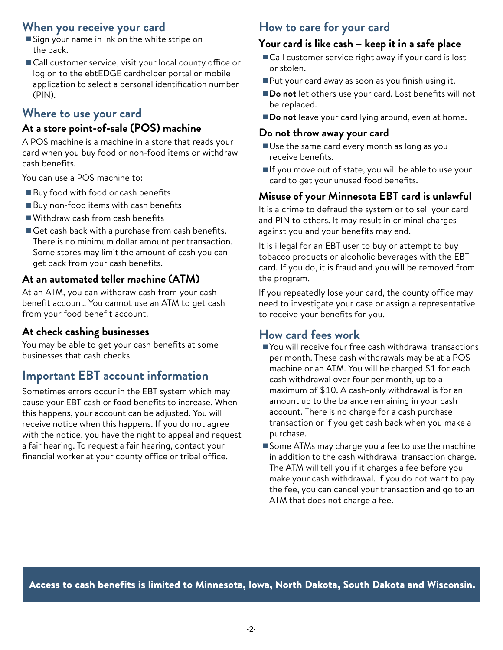#### **When you receive your card**

- Sign your name in ink on the white stripe on the back.
- Call customer service, visit your local county office or log on to the ebtEDGE cardholder portal or mobile application to select a personal identification number (PIN).

# **Where to use your card**

### **At a store point-of-sale (POS) machine**

A POS machine is a machine in a store that reads your card when you buy food or non-food items or withdraw cash benefits.

You can use a POS machine to:

- Buy food with food or cash benefits
- Buy non-food items with cash benefits
- Withdraw cash from cash benefits
- Get cash back with a purchase from cash benefits. There is no minimum dollar amount per transaction. Some stores may limit the amount of cash you can get back from your cash benefits.

#### **At an automated teller machine (ATM)**

At an ATM, you can withdraw cash from your cash benefit account. You cannot use an ATM to get cash from your food benefit account.

### **At check cashing businesses**

You may be able to get your cash benefits at some businesses that cash checks.

# **Important EBT account information**

Sometimes errors occur in the EBT system which may cause your EBT cash or food benefits to increase. When this happens, your account can be adjusted. You will receive notice when this happens. If you do not agree with the notice, you have the right to appeal and request a fair hearing. To request a fair hearing, contact your financial worker at your county office or tribal office.

# **How to care for your card**

#### **Your card is like cash – keep it in a safe place**

- Call customer service right away if your card is lost or stolen.
- Put your card away as soon as you finish using it.
- **Do not** let others use your card. Lost benefits will not be replaced.
- **Do not** leave your card lying around, even at home.

#### **Do not throw away your card**

- Use the same card every month as long as you receive benefits.
- If you move out of state, you will be able to use your card to get your unused food benefits.

# **Misuse of your Minnesota EBT card is unlawful**

It is a crime to defraud the system or to sell your card and PIN to others. It may result in criminal charges against you and your benefits may end.

It is illegal for an EBT user to buy or attempt to buy tobacco products or alcoholic beverages with the EBT card. If you do, it is fraud and you will be removed from the program.

If you repeatedly lose your card, the county office may need to investigate your case or assign a representative to receive your benefits for you.

### **How card fees work**

- You will receive four free cash withdrawal transactions per month. These cash withdrawals may be at a POS machine or an ATM. You will be charged \$1 for each cash withdrawal over four per month, up to a maximum of \$10. A cash-only withdrawal is for an amount up to the balance remaining in your cash account. There is no charge for a cash purchase transaction or if you get cash back when you make a purchase.
- Some ATMs may charge you a fee to use the machine in addition to the cash withdrawal transaction charge. The ATM will tell you if it charges a fee before you make your cash withdrawal. If you do not want to pay the fee, you can cancel your transaction and go to an ATM that does not charge a fee.

Access to cash benefits is limited to Minnesota, Iowa, North Dakota, South Dakota and Wisconsin.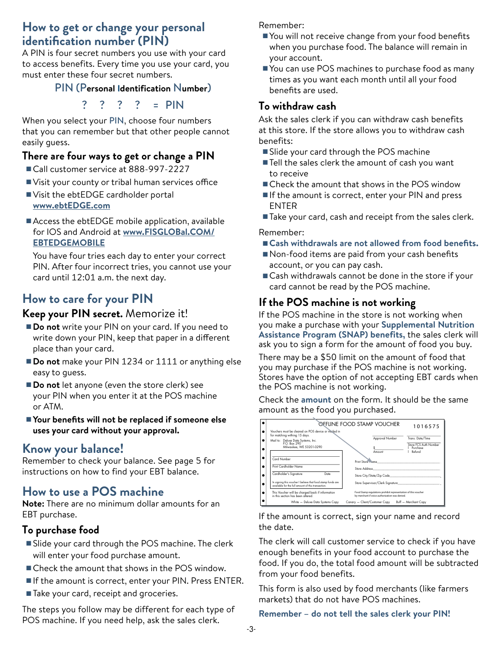### **How to get or change your personal identification number (PIN)**

A PIN is four secret numbers you use with your card to access benefits. Every time you use your card, you must enter these four secret numbers.

#### PIN (P**ersonal Identification** N**umber**)

? ? ? ? = PIN

When you select your PIN, choose four numbers that you can remember but that other people cannot easily guess.

#### **There are four ways to get or change a PIN**

- Call customer service at 888-997-2227
- Visit your county or tribal human services office
- Visit the ebtEDGE cardholder portal **[www.ebtEDGE.com](https://www.ebtedge.com/gov/portal/PortalHome.do)**
- Access the ebtEDGE mobile application, available for IOS and Android at **[www.F](https://www.fisglobal.com/EBTEDGEMOBILE)ISGLOBal.COM/ EBTEDGEMOBILE**

You have four tries each day to enter your correct PIN. After four incorrect tries, you cannot use your card until 12:01 a.m. the next day.

# **How to care for your PIN**

#### **Keep your PIN secret.** Memorize it!

- **Do not** write your PIN on your card. If you need to write down your PIN, keep that paper in a different place than your card.
- **Do not** make your PIN 1234 or 1111 or anything else easy to guess.
- **Do not** let anyone (even the store clerk) see your PIN when you enter it at the POS machine or ATM.
- **Your benefits will not be replaced if someone else uses your card without your approval.**

#### **Know your balance!**

Remember to check your balance. See page 5 for instructions on how to find your EBT balance.

#### **How to use a POS machine**

**Note:** There are no minimum dollar amounts for an EBT purchase.

#### **To purchase food**

- Slide your card through the POS machine. The clerk will enter your food purchase amount.
- Check the amount that shows in the POS window.
- If the amount is correct, enter your PIN. Press ENTER.
- Take your card, receipt and groceries.

The steps you follow may be different for each type of POS machine. If you need help, ask the sales clerk.

Remember:

- You will not receive change from your food benefits when you purchase food. The balance will remain in your account.
- You can use POS machines to purchase food as many times as you want each month until all your food benefits are used.

#### **To withdraw cash**

Ask the sales clerk if you can withdraw cash benefits at this store. If the store allows you to withdraw cash benefits:

- Slide your card through the POS machine
- Tell the sales clerk the amount of cash you want to receive
- Check the amount that shows in the POS window
- If the amount is correct, enter your PIN and press ENTER
- Take your card, cash and receipt from the sales clerk.

Remember:

- Cash withdrawals are not allowed from food benefits.
- Non-food items are paid from your cash benefits account, or you can pay cash.
- Cash withdrawals cannot be done in the store if your card cannot be read by the POS machine.

#### **If the POS machine is not working**

If the POS machine in the store is not working when you make a purchase with your **Supplemental Nutrition Assistance Program (SNAP) benefits,** the sales clerk will ask you to sign a form for the amount of food you buy.

There may be a \$50 limit on the amount of food that you may purchase if the POS machine is not working. Stores have the option of not accepting EBT cards when the POS machine is not working.

Check the **amount** on the form. It should be the same amount as the food you purchased.

|                                                                                                                                                                        | OFFLINE FOOD STAMP VOUCHER<br>1016575                                                                            |  |
|------------------------------------------------------------------------------------------------------------------------------------------------------------------------|------------------------------------------------------------------------------------------------------------------|--|
| Vouchers must be cleared on POS device or mailed in<br>for matching withing 15 days.<br>Mail to: Deluxe Data Systems, Inc.<br>P.O. Box 290<br>Milwaukee, WE 53201-0290 | Approval Number<br>Trans. Date/Time<br>Store FCS Auth Number<br>Purchase                                         |  |
| Card Number                                                                                                                                                            | Refund<br>Amount<br>Print Store is ame                                                                           |  |
| Print Cardholder Name<br>Cardholder's Signature<br>Date                                                                                                                | <b>Store Address</b>                                                                                             |  |
|                                                                                                                                                                        | Store City/State/Zip Code<br>Store Supervisor/Clerk Signature                                                    |  |
| In signing this voucher I believe that food stamp funds are<br>available for the full amount of this transaction.                                                      |                                                                                                                  |  |
| This Voucher will be charged back if information<br>in this section has been altered                                                                                   | Food Stamp requlations prohibit representation of this voucher<br>by merchant if voice authorization was denied. |  |
| White - Deluxe Data Systems Copy                                                                                                                                       | Canary - Client/Customer Copy<br>Buff - Merchant Copy                                                            |  |

If the amount is correct, sign your name and record the date.

The clerk will call customer service to check if you have enough benefits in your food account to purchase the food. If you do, the total food amount will be subtracted from your food benefits.

This form is also used by food merchants (like farmers markets) that do not have POS machines.

#### **Remember – do not tell the sales clerk your PIN!**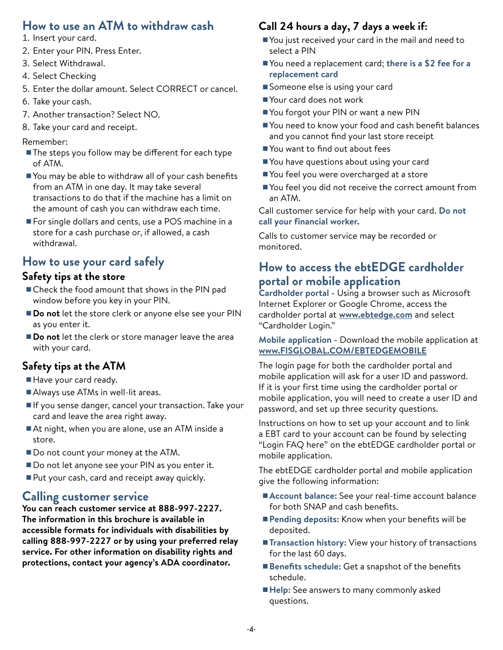# **How to use an ATM to withdraw cash**

- 1. Insert your card.
- 2. Enter your PIN. Press Enter.
- 3. Select Withdrawal.
- 4. Select Checking
- 5. Enter the dollar amount. Select CORRECT or cancel.
- 6. Take your cash.
- 7. Another transaction? Select NO.
- 8. Take your card and receipt.

#### Remember:

- The steps you follow may be different for each type of ATM.
- You may be able to withdraw all of your cash benefits from an ATM in one day. It may take several transactions to do that if the machine has a limit on the amount of cash you can withdraw each time.
- For single dollars and cents, use a POS machine in a store for a cash purchase or, if allowed, a cash withdrawal.

# **How to use your card safely**

#### **Safety tips at the store**

- Check the food amount that shows in the PIN pad window before you key in your PIN.
- **Do not** let the store clerk or anyone else see your PIN as you enter it.
- **Do not** let the clerk or store manager leave the area with your card.

#### **Safety tips at the ATM**

- Have your card ready.
- Always use ATMs in well-lit areas.
- If you sense danger, cancel your transaction. Take your card and leave the area right away.
- At night, when you are alone, use an ATM inside a store.
- Do not count your money at the ATM.
- Do not let anyone see your PIN as you enter it.
- Put your cash, card and receipt away quickly.

### **Calling customer service**

**You can reach customer service at 888-997-2227. The information in this brochure is available in accessible formats for individuals with disabilities by calling 888-997-2227 or by using your preferred relay service. For other information on disability rights and protections, contact your agency's ADA coordinator.**

#### **Call 24 hours a day, 7 days a week if:**

- You just received your card in the mail and need to select a PIN
- You need a replacement card; there is a \$2 fee for a **replacement card**
- Someone else is using your card
- Your card does not work
- You forgot your PIN or want a new PIN
- You need to know your food and cash benefit balances and you cannot find your last store receipt
- You want to find out about fees
- You have questions about using your card
- You feel you were overcharged at a store
- You feel you did not receive the correct amount from an ATM.

Call customer service for help with your card. **Do not call your financial worker.**

Calls to customer service may be recorded or monitored.

# **How to access the ebtEDGE cardholder portal or mobile application**

**Cardholder portal -** Using a browser such as Microsoft Internet Explorer or Google Chrome, access the cardholder portal at **[www.ebtedge.com](https://www.ebtedge.com/gov/portal/PortalHome.do)** and select "Cardholder Login."

#### **Mobile application -** Download the mobile application at **[www.FISGLOBAL.COM/EBTEDGEMOBILE](https://www.fisglobal.com/EBTEDGEMOBILE)**

The login page for both the cardholder portal and mobile application will ask for a user ID and password. If it is your first time using the cardholder portal or mobile application, you will need to create a user ID and password, and set up three security questions.

Instructions on how to set up your account and to link a EBT card to your account can be found by selecting "Login FAQ here" on the ebtEDGE cardholder portal or mobile application.

The ebtEDGE cardholder portal and mobile application give the following information:

- **Account balance:** See your real-time account balance for both SNAP and cash benefits.
- **Pending deposits:** Know when your benefits will be deposited.
- **Transaction history:** View your history of transactions for the last 60 days.
- **Benefits schedule:** Get a snapshot of the benefits schedule.
- **Help:** See answers to many commonly asked questions.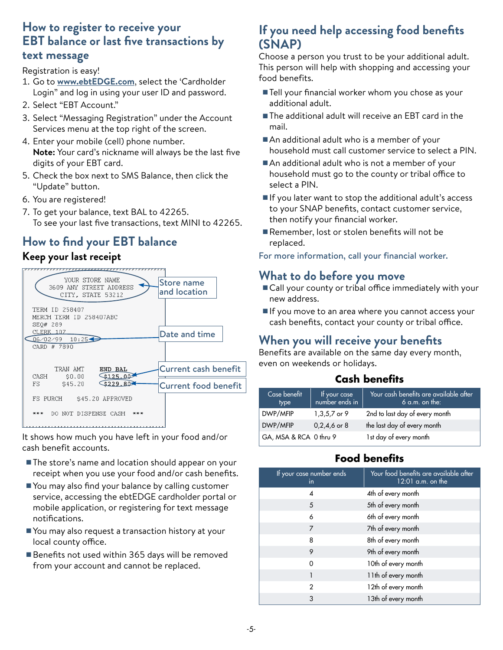#### **How to register to receive your EBT balance or last five transactions by text message**

Registration is easy!

- 1. Go to **[www.ebtEDGE.com](https://www.ebtedge.com/gov/portal/PortalHome.do)**, select the 'Cardholder Login" and log in using your user ID and password.
- 2. Select "EBT Account."
- 3. Select "Messaging Registration" under the Account Services menu at the top right of the screen.
- 4. Enter your mobile (cell) phone number. **Note:** Your card's nickname will always be the last five digits of your EBT card.
- 5. Check the box next to SMS Balance, then click the "Update" button.
- 6. You are registered!
- 7. To get your balance, text BAL to 42265. To see your last five transactions, text MINI to 42265.

# **How to find your EBT balance**

#### **Keep your last receipt**



It shows how much you have left in your food and/or cash benefit accounts.

- The store's name and location should appear on your receipt when you use your food and/or cash benefits.
- You may also find your balance by calling customer service, accessing the ebtEDGE cardholder portal or mobile application, or registering for text message notifications.
- You may also request a transaction history at your local county office.
- Benefits not used within 365 days will be removed from your account and cannot be replaced.

# **If you need help accessing food benefits (SNAP)**

Choose a person you trust to be your additional adult. This person will help with shopping and accessing your food benefits.

- Tell your financial worker whom you chose as your additional adult.
- The additional adult will receive an EBT card in the mail.
- An additional adult who is a member of your household must call customer service to select a PIN.
- An additional adult who is not a member of your household must go to the county or tribal office to select a PIN.
- If you later want to stop the additional adult's access to your SNAP benefits, contact customer service, then notify your financial worker.
- Remember, lost or stolen benefits will not be replaced.

For more information, call your financial worker.

### **What to do before you move**

- Call your county or tribal office immediately with your new address.
- If you move to an area where you cannot access your cash benefits, contact your county or tribal office.

# **When you will receive your benefits**

Benefits are available on the same day every month, even on weekends or holidays.

#### **Cash benefits**

| Case benefit<br>type   | If your case<br>number ends in | Your cash benefits are available after<br>$6$ a.m. on the: |
|------------------------|--------------------------------|------------------------------------------------------------|
| DWP/MFIP               | 1,3,5,7 or 9                   | 2nd to last day of every month                             |
| DWP/MFIP               | $0,2,4,6$ or 8                 | the last day of every month                                |
| GA, MSA & RCA 0 thru 9 |                                | 1st day of every month                                     |

### **Food benefits**

| If your case number ends<br>in | Your food benefits are available after<br>$12:01$ a.m. on the |
|--------------------------------|---------------------------------------------------------------|
| 4                              | 4th of every month                                            |
| 5                              | 5th of every month                                            |
| 6                              | 6th of every month                                            |
| 7                              | 7th of every month                                            |
| 8                              | 8th of every month                                            |
| 9                              | 9th of every month                                            |
| Ω                              | 10th of every month                                           |
|                                | 11th of every month                                           |
| 2                              | 12th of every month                                           |
| 3                              | 13th of every month                                           |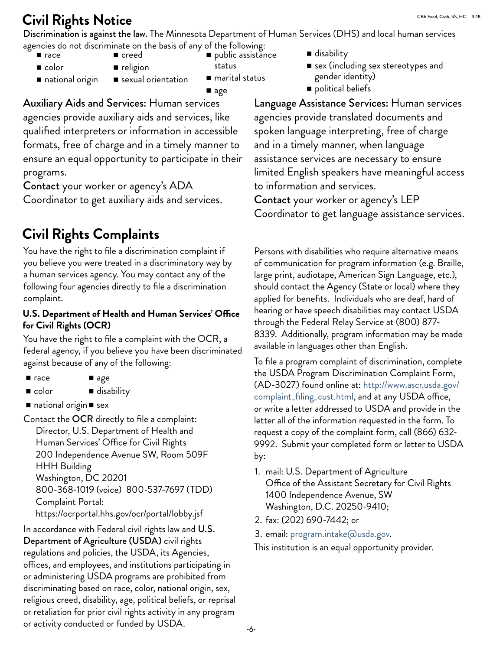# **Civil Rights Notice**

Discrimination is against the law. The Minnesota Department of Human Services (DHS) and local human services agencies do not discriminate on the basis of any of the following:

- $r$ ace ■ color
- creed **religion**
- public assistance
- status
- national origin sexual orientation
- marital status ■ age

Auxiliary Aids and Services: Human services agencies provide auxiliary aids and services, like qualified interpreters or information in accessible formats, free of charge and in a timely manner to ensure an equal opportunity to participate in their programs.

Contact your worker or agency's ADA Coordinator to get auxiliary aids and services.

# **Civil Rights Complaints**

You have the right to file a discrimination complaint if you believe you were treated in a discriminatory way by a human services agency. You may contact any of the following four agencies directly to file a discrimination complaint.

#### **U.S. Department of Health and Human Services' Office for Civil Rights (OCR)**

You have the right to file a complaint with the OCR, a federal agency, if you believe you have been discriminated against because of any of the following:

- $$ ■ age
- color ■ disability
- $\blacksquare$  national origin  $\blacksquare$  sex

Contact the OCR directly to file a complaint: Director, U.S. Department of Health and Human Services' Office for Civil Rights 200 Independence Avenue SW, Room 509F HHH Building Washington, DC 20201 800-368-1019 (voice) 800-537-7697 (TDD) Complaint Portal: https://ocrportal.hhs.gov/ocr/portal/lobby.jsf

In accordance with Federal civil rights law and U.S. Department of Agriculture (USDA) civil rights regulations and policies, the USDA, its Agencies, offices, and employees, and institutions participating in or administering USDA programs are prohibited from discriminating based on race, color, national origin, sex, religious creed, disability, age, political beliefs, or reprisal or retaliation for prior civil rights activity in any program or activity conducted or funded by USDA.

- disability
- $\blacksquare$  sex (including sex stereotypes and gender identity)
- political beliefs

Language Assistance Services: Human services agencies provide translated documents and spoken language interpreting, free of charge and in a timely manner, when language assistance services are necessary to ensure limited English speakers have meaningful access to information and services.

Contact your worker or agency's LEP Coordinator to get language assistance services.

Persons with disabilities who require alternative means of communication for program information (e.g. Braille, large print, audiotape, American Sign Language, etc.), should contact the Agency (State or local) where they applied for benefits. Individuals who are deaf, hard of hearing or have speech disabilities may contact USDA through the Federal Relay Service at (800) 877- 8339. Additionally, program information may be made available in languages other than English.

To file a program complaint of discrimination, complete the USDA Program Discrimination Complaint Form, (AD-3027) found online at: [http://www.ascr.usda.gov/](http://www.ascr.usda.gov/complaint_filing_cust.html) [complaint\\_filing\\_cust.html,](http://www.ascr.usda.gov/complaint_filing_cust.html) and at any USDA office, or write a letter addressed to USDA and provide in the letter all of the information requested in the form. To request a copy of the complaint form, call (866) 632- 9992. Submit your completed form or letter to USDA by:

- 1. mail: U.S. Department of Agriculture Office of the Assistant Secretary for Civil Rights 1400 Independence Avenue, SW Washington, D.C. 20250-9410;
- 2. fax: (202) 690-7442; or
- 3. email: program[.intake@usda.gov](mailto:program.intake%40usda.gov?subject=To%20file%20a%20complaint).

This institution is an equal opportunity provider.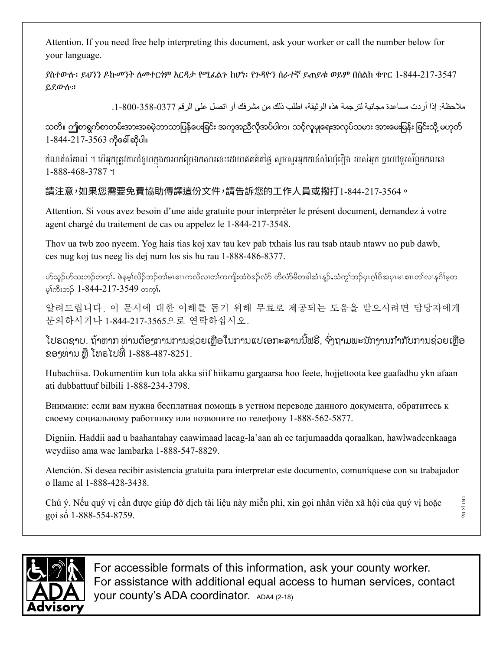Attention. If you need free help interpreting this document, ask your worker or call the number below for your language.

ያስተውሉ፡ ይህንን ዶኩመንት ለመተርጎም እርዳታ የሚፈልጉ ከሆነ፡ የጉዳዮን ሰራተኛ ይጠይቁ ወይም በሰልክ ቁጥር 1-844-217-3547 ይደውሉ።

ملاحظة: إذا أردت مساعدة مجانية لترجمة هذه الوثيقة، اطلب ذلك من مشرفك أو اتصل على الرقم 3577-358-300.

သတိ။ ဤစာရွက်စာတမ်းအားအခမဲ့ဘာသာပြန်ပေးခြင်း အကူအညီလိုအပ်ပါက၊ သင့်လူမှုရေးအလုပ်သမား အားမေးမြန်း ခြင်းသို့ မဟုတ် 1-844-217-3563 ကုိေခၚဆုိပါ။

កំណត់សំគាល់ ។ បើអ្នកត្រូវការជំនួយក្នុងការបកប្រែឯកសារនេះដោយឥតគិតថ្លៃ សូមសួរអ្នកកាន់សំណុំរឿង របស់អ្នក ឬហៅទូរស័ព្ទមកលខេ 1-888-468-3787 ។

請注意,如果您需要免費協助傳譯這份文件,請告訴您的工作人員或撥打1-844-217-3564。

Attention. Si vous avez besoin d'une aide gratuite pour interpréter le présent document, demandez à votre agent chargé du traitement de cas ou appelez le 1-844-217-3548.

Thov ua twb zoo nyeem. Yog hais tias koj xav tau kev pab txhais lus rau tsab ntaub ntawv no pub dawb, ces nug koj tus neeg lis dej num los sis hu rau 1-888-486-8377.

ဟ်သူဉ်ဟ်သးဘဉ်တက္i်. ဖဲနမ္န္ကလိဉ်ဘဉ်တျမၤစ္ပ္ကၤတလီလ၊တျကတျိုးထံဝဲအုလ်ဟိ တီလံာမိတခါအံၤန္ဥ်ာသံကွုသဉ်ပုၤဂ္ဂါဝီအပူၤမၤစ္ပ္ကၤတ္ကၤလျနဂိၢမ္စ္မတ မ္)ကိုးဘ $\frac{5}{2}$  1-844-217-3549 တက္).

알려드립니다. 이 문서에 대한 이해를 돕기 위해 무료로 제공되는 도움을 받으시려면 담당자에게 문의하시거나 1-844-217-3565으로 연락하십시오.

ີ ເປຣດຊາບ. ຖ້າຫາກ ທ່ານຕອງການການຊ່ວຍເຫຼືອໃນການແປເອກະສານນີຟຣີ, ຈົງຖາມພະນັກງານກຳກັບການຊ່ວຍເຫຼືອ<br>ຂອງທ່ານ ຫຼື ໂທຣໄປທີ່ 1-888-487-8251.

Hubachiisa. Dokumentiin kun tola akka siif hiikamu gargaarsa hoo feete, hojjettoota kee gaafadhu ykn afaan ati dubbattuuf bilbili 1-888-234-3798.

Внимание: если вам нужна бесплатная помощь в устном переводе данного документа, обратитесь к своему социальному работнику или позвоните по телефону 1-888-562-5877.

Digniin. Haddii aad u baahantahay caawimaad lacag-la'aan ah ee tarjumaadda qoraalkan, hawlwadeenkaaga weydiiso ama wac lambarka 1-888-547-8829.

Atención. Si desea recibir asistencia gratuita para interpretar este documento, comuníquese con su trabajador o llame al 1-888-428-3438.

Chú ý. Nếu quý vị cần được giúp đỡ dịch tài liệu này miễn phí, xin gọi nhân viên xã hội của quý vị hoặc gọi số 1-888-554-8759.

visory

For accessible formats of this information, ask your county worker. For assistance with additional equal access to human services, contact your county's ADA coordinator. ADA4 (2-18)

LB1 (8-16)